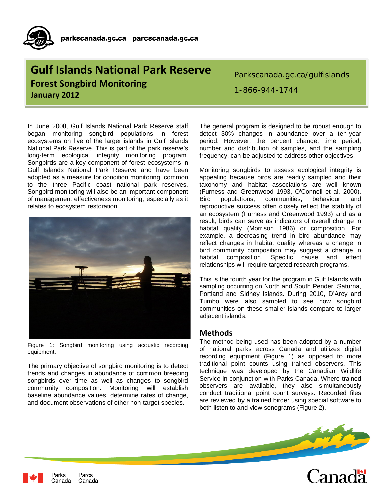## **Gulf Islands National Park Reserve Forest Songbird Monitoring January 2012**

Parkscanada.gc.ca/gulfislands

In June 2008, Gulf Islands National Park Reserve staff began monitoring songbird populations in forest ecosystems on five of the larger islands in Gulf Islands National Park Reserve. This is part of the park reserve's long-term ecological integrity monitoring program. Songbirds are a key component of forest ecosystems in Gulf Islands National Park Reserve and have been adopted as a measure for condition monitoring, common to the three Pacific coast national park reserves. Songbird monitoring will also be an important component of management effectiveness monitoring, especially as it relates to ecosystem restoration.



Figure 1: Songbird monitoring using acoustic recording equipment.

The primary objective of songbird monitoring is to detect trends and changes in abundance of common breeding songbirds over time as well as changes to songbird community composition. Monitoring will establish baseline abundance values, determine rates of change, and document observations of other non-target species.

1-866-944-1744

The general program is designed to be robust enough to detect 30% changes in abundance over a ten-year period. However, the percent change, time period, number and distribution of samples, and the sampling frequency, can be adjusted to address other objectives.

Monitoring songbirds to assess ecological integrity is appealing because birds are readily sampled and their taxonomy and habitat associations are well known (Furness and Greenwood 1993, O'Connell et al. 2000). Bird populations, communities, behaviour and reproductive success often closely reflect the stability of an ecosystem (Furness and Greenwood 1993) and as a result, birds can serve as indicators of overall change in habitat quality (Morrison 1986) or composition. For example, a decreasing trend in bird abundance may reflect changes in habitat quality whereas a change in bird community composition may suggest a change in habitat composition. Specific cause and effect relationships will require targeted research programs.

This is the fourth year for the program in Gulf Islands with sampling occurring on North and South Pender, Saturna, Portland and Sidney Islands. During 2010, D'Arcy and Tumbo were also sampled to see how songbird communities on these smaller islands compare to larger adjacent islands.

## **Methods**

The method being used has been adopted by a number of national parks across Canada and utilizes digital recording equipment (Figure 1) as opposed to more traditional point counts using trained observers. This technique was developed by the Canadian Wildlife Service in conjunction with Parks Canada. Where trained observers are available, they also simultaneously conduct traditional point count surveys. Recorded files are reviewed by a trained birder using special software to both listen to and view sonograms (Figure 2).